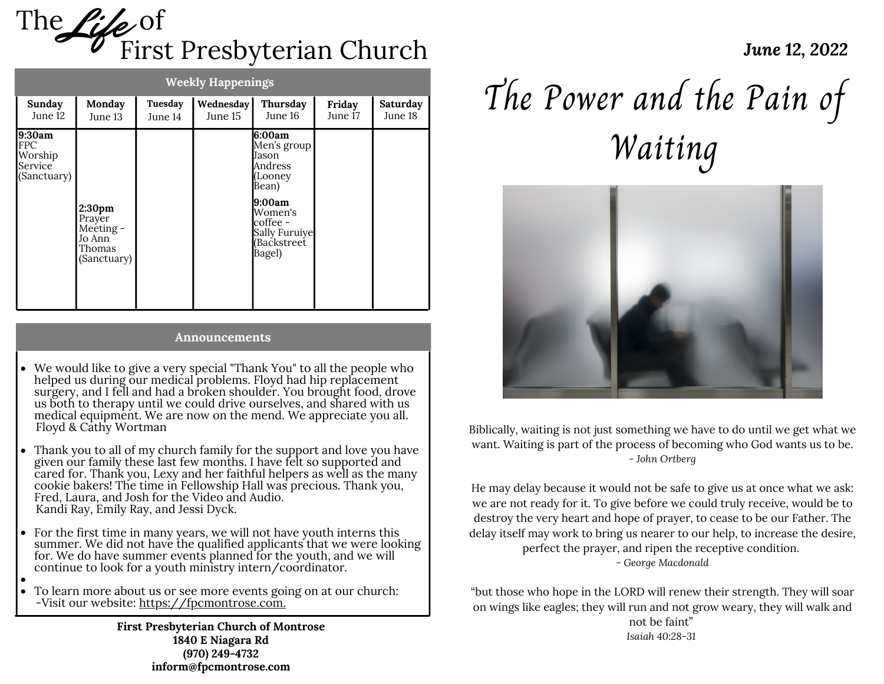

| <b>Weekly Happenings</b>                                  |                                                                              |                    |                      |                                                                                                                                           |                   |                     |
|-----------------------------------------------------------|------------------------------------------------------------------------------|--------------------|----------------------|-------------------------------------------------------------------------------------------------------------------------------------------|-------------------|---------------------|
| Sunday<br>June 12                                         | Monday<br>June 13                                                            | Tuesday<br>June 14 | Wednesday<br>June 15 | Thursday<br>June 16                                                                                                                       | Friday<br>June 17 | Saturday<br>June 18 |
| 9:30am<br><b>FPC</b><br>Worship<br>Service<br>(Sanctuary) | 2:30 <sub>pm</sub><br>Prayer<br>Meeting -<br>Jo Ann<br>Thomas<br>(Sanctuary) |                    |                      | 6:00am<br>Men's group<br>Jason<br>Andress<br>(Looney<br>Bean)<br>9:00am<br>Women's<br>coffee -<br>Sally Furuiye<br>(Bačkstreet)<br>Bagel) |                   |                     |

#### **Announcements**

- We would like to give a very special "Thank You" to all the people who helped us during our medical problems. Floyd had hip replacement surgery, and I fell and had a broken shoulder. You brought food, drove us both to therapy until we could drive ourselves, and shared with us medical equipment. We are now on the mend. We appreciate you all. Floyd & Cathy Wortman
- Thank you to all of my church family for the support and love you have given our family these last few months. I have felt so supported and cared for. Thank you, Lexy and her faithful helpers as well as the many cookie bakers! The time in Fellowship Hall was precious. Thank you, Fred, Laura, and Josh for the Video and Audio. Kandi Ray, Emily Ray, and Jessi Dyck.
- For the first time in many years, we will not have youth interns this summer. We did not have the qualified applicants that we were looking for. We do have summer events planned for the youth, and we will continue to look for a youth ministry intern/coordinator.
- To learn more about us or see more events going on at our church: -Visit our website: [https://fpcmontrose.com.](https://fpcmontrose.com/)

**First Presbyterian Church of Montrose 1840 E Niagara Rd (970) 249-4732 inform@fpcmontrose.com**

# The Power and the Pain of Waiting



Biblically, waiting is not just something we have to do until we get what we want. Waiting is part of the process of becoming who God wants us to be. - *John Ortberg*

He may delay because it would not be safe to give us at once what we ask: we are not ready for it. To give before we could truly receive, would be to destroy the very heart and hope of prayer, to cease to be our Father. The delay itself may work to bring us nearer to our help, to increase the desire, perfect the prayer, and ripen the receptive condition. *- George Macdonald*

"but those who hope in the LORD will renew their strength. They will soar on wings like eagles; they will run and not grow weary, they will walk and not be faint" *Isaiah [40:28-31](https://www.biblestudytools.com/isaiah/passage/?q=isaiah+40:28-31)*